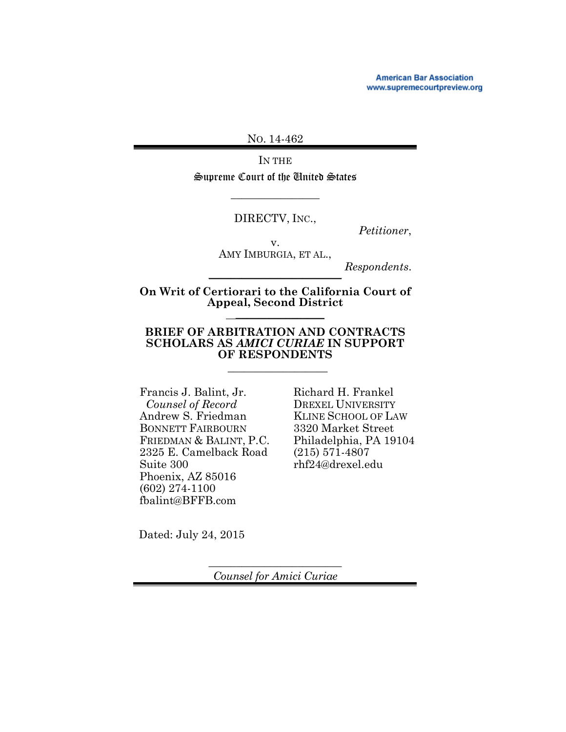**American Bar Association** www.supremecourtpreview.org

NO. 14-462

IN THE

Supreme Court of the United States  $\overline{\phantom{a}}$  , where  $\overline{\phantom{a}}$ 

DIRECTV, INC.,

*Petitioner*,

v. AMY IMBURGIA, ET AL.,

*Respondents*. \_\_\_\_\_\_\_\_\_\_\_\_\_\_\_\_\_\_\_\_\_\_\_\_

**On Writ of Certiorari to the California Court of Appeal, Second District** \_\_\_\_\_\_\_\_\_\_\_\_\_\_\_\_

#### **BRIEF OF ARBITRATION AND CONTRACTS SCHOLARS AS** *AMICI CURIAE* **IN SUPPORT OF RESPONDENTS**

 $\overline{\phantom{a}}$  , where the contract of the contract of the contract of the contract of the contract of the contract of the contract of the contract of the contract of the contract of the contract of the contract of the contr

Francis J. Balint, Jr. *Counsel of Record* Andrew S. Friedman BONNETT FAIRBOURN FRIEDMAN & BALINT, P.C. 2325 E. Camelback Road Suite 300 Phoenix, AZ 85016 (602) 274-1100 fbalint@BFFB.com

Richard H. Frankel DREXEL UNIVERSITY KLINE SCHOOL OF LAW 3320 Market Street Philadelphia, PA 19104 (215) 571-4807 rhf24@drexel.edu

Dated: July 24, 2015

 $\overline{\phantom{a}}$  , where  $\overline{\phantom{a}}$  , where  $\overline{\phantom{a}}$  , where  $\overline{\phantom{a}}$ *Counsel for Amici Curiae*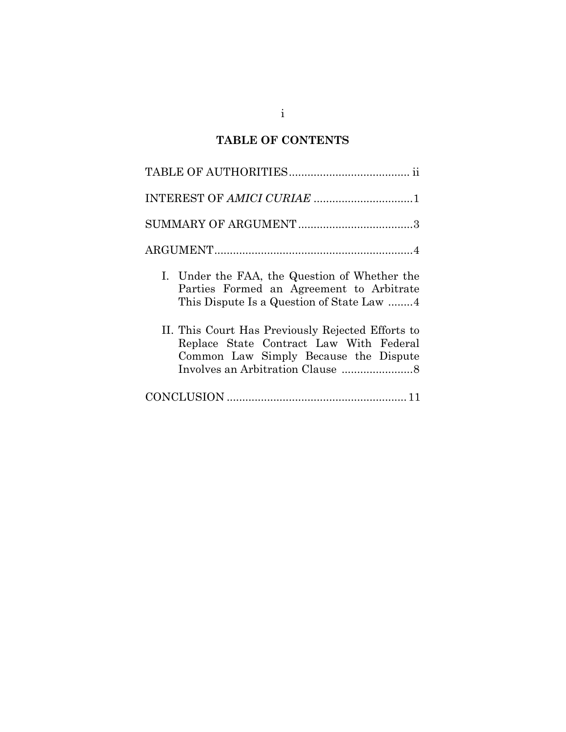## **TABLE OF CONTENTS**

| I. Under the FAA, the Question of Whether the<br>Parties Formed an Agreement to Arbitrate<br>This Dispute Is a Question of State Law 4 |
|----------------------------------------------------------------------------------------------------------------------------------------|
| II. This Court Has Previously Rejected Efforts to<br>Replace State Contract Law With Federal<br>Common Law Simply Because the Dispute  |
|                                                                                                                                        |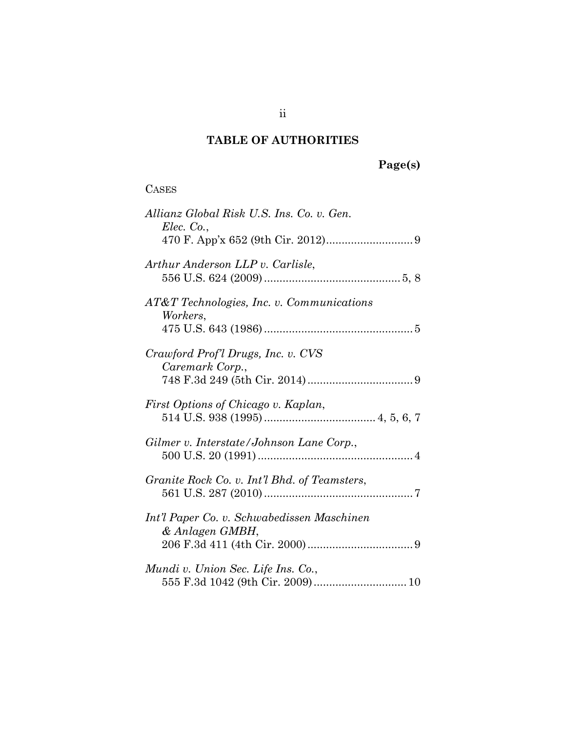# **TABLE OF AUTHORITIES**

# **Page(s)**

### CASES

| Allianz Global Risk U.S. Ins. Co. v. Gen.<br>Elec. Co.,       |
|---------------------------------------------------------------|
| Arthur Anderson LLP v. Carlisle,                              |
| AT&T Technologies, Inc. v. Communications<br>Workers,         |
| Crawford Prof'l Drugs, Inc. v. CVS<br>Caremark Corp.,         |
| First Options of Chicago v. Kaplan,                           |
| Gilmer v. Interstate/Johnson Lane Corp.,                      |
| Granite Rock Co. v. Int'l Bhd. of Teamsters,                  |
| Int'l Paper Co. v. Schwabedissen Maschinen<br>& Anlagen GMBH, |
| Mundi v. Union Sec. Life Ins. Co.,                            |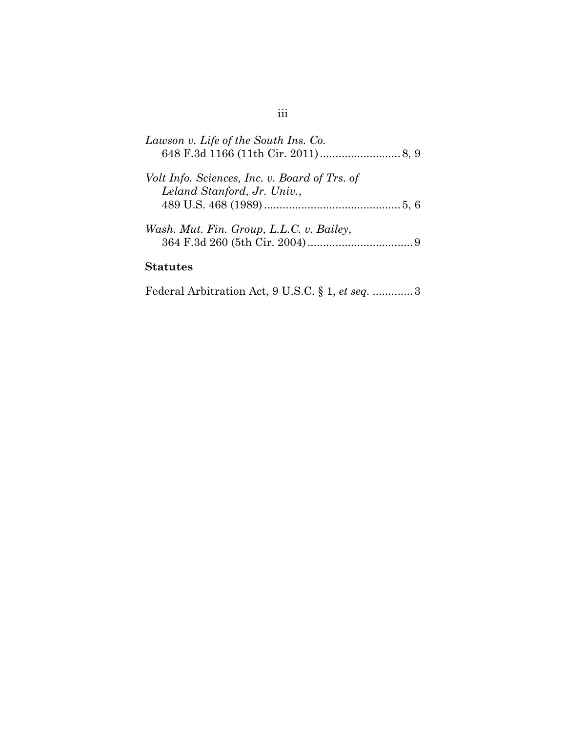| Lawson v. Life of the South Ins. Co.                                         |  |
|------------------------------------------------------------------------------|--|
| Volt Info. Sciences, Inc. v. Board of Trs. of<br>Leland Stanford, Jr. Univ., |  |
|                                                                              |  |
| Wash. Mut. Fin. Group, L.L.C. v. Bailey,                                     |  |
| $\sim$ $\sim$ $\sim$                                                         |  |

### **Statutes**

Federal Arbitration Act, 9 U.S.C. § 1, *et seq.* ............[.3](#page-6-0)

# iii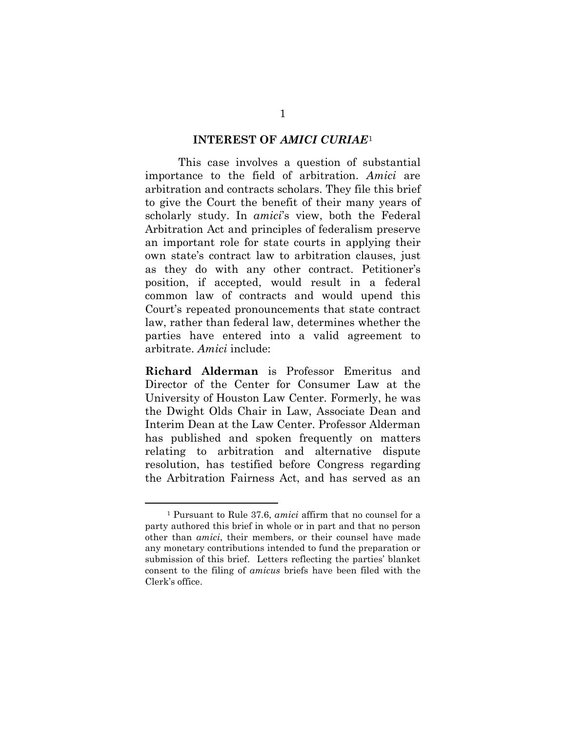#### **INTEREST OF** *AMICI CURIAE*[1](#page-4-0)

This case involves a question of substantial importance to the field of arbitration. *Amici* are arbitration and contracts scholars. They file this brief to give the Court the benefit of their many years of scholarly study. In *amici*'s view, both the Federal Arbitration Act and principles of federalism preserve an important role for state courts in applying their own state's contract law to arbitration clauses, just as they do with any other contract. Petitioner's position, if accepted, would result in a federal common law of contracts and would upend this Court's repeated pronouncements that state contract law, rather than federal law, determines whether the parties have entered into a valid agreement to arbitrate. *Amici* include:

**Richard Alderman** is Professor Emeritus and Director of the Center for Consumer Law at the University of Houston Law Center. Formerly, he was the Dwight Olds Chair in Law, Associate Dean and Interim Dean at the Law Center. Professor Alderman has published and spoken frequently on matters relating to arbitration and alternative dispute resolution, has testified before Congress regarding the Arbitration Fairness Act, and has served as an

-

<span id="page-4-0"></span><sup>1</sup> Pursuant to Rule 37.6, *amici* affirm that no counsel for a party authored this brief in whole or in part and that no person other than *amici*, their members, or their counsel have made any monetary contributions intended to fund the preparation or submission of this brief. Letters reflecting the parties' blanket consent to the filing of *amicus* briefs have been filed with the Clerk's office.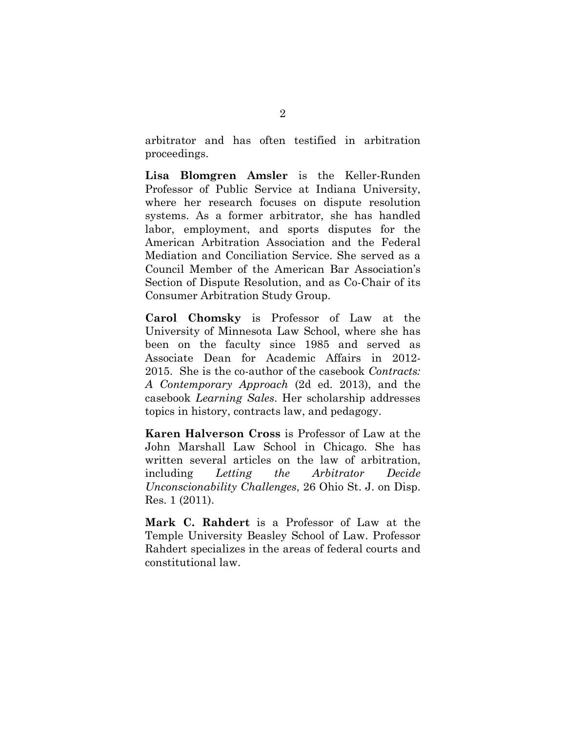arbitrator and has often testified in arbitration proceedings.

**Lisa Blomgren Amsler** is the Keller-Runden Professor of Public Service at Indiana University, where her research focuses on dispute resolution systems. As a former arbitrator, she has handled labor, employment, and sports disputes for the American Arbitration Association and the Federal Mediation and Conciliation Service. She served as a Council Member of the American Bar Association's Section of Dispute Resolution, and as Co-Chair of its Consumer Arbitration Study Group.

**Carol Chomsky** is Professor of Law at the University of Minnesota Law School, where she has been on the faculty since 1985 and served as Associate Dean for Academic Affairs in 2012- 2015. She is the co-author of the casebook *Contracts: A Contemporary Approach* (2d ed. 2013), and the casebook *Learning Sales*. Her scholarship addresses topics in history, contracts law, and pedagogy.

**Karen Halverson Cross** is Professor of Law at the John Marshall Law School in Chicago. She has written several articles on the law of arbitration, including *Letting the Arbitrator Decide Unconscionability Challenges*, 26 Ohio St. J. on Disp. Res. 1 (2011).

**Mark C. Rahdert** is a Professor of Law at the Temple University Beasley School of Law. Professor Rahdert specializes in the areas of federal courts and constitutional law.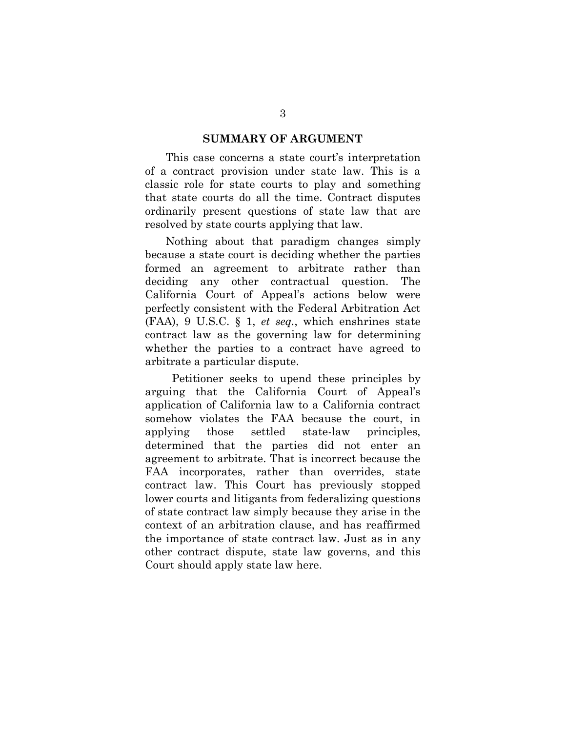### **SUMMARY OF ARGUMENT**

This case concerns a state court's interpretation of a contract provision under state law. This is a classic role for state courts to play and something that state courts do all the time. Contract disputes ordinarily present questions of state law that are resolved by state courts applying that law.

<span id="page-6-0"></span>Nothing about that paradigm changes simply because a state court is deciding whether the parties formed an agreement to arbitrate rather than deciding any other contractual question. The California Court of Appeal's actions below were perfectly consistent with the Federal Arbitration Act (FAA), 9 U.S.C. § 1, *et seq.*, which enshrines state contract law as the governing law for determining whether the parties to a contract have agreed to arbitrate a particular dispute.

 Petitioner seeks to upend these principles by arguing that the California Court of Appeal's application of California law to a California contract somehow violates the FAA because the court, in applying those settled state-law principles, determined that the parties did not enter an agreement to arbitrate. That is incorrect because the FAA incorporates, rather than overrides, state contract law. This Court has previously stopped lower courts and litigants from federalizing questions of state contract law simply because they arise in the context of an arbitration clause, and has reaffirmed the importance of state contract law. Just as in any other contract dispute, state law governs, and this Court should apply state law here.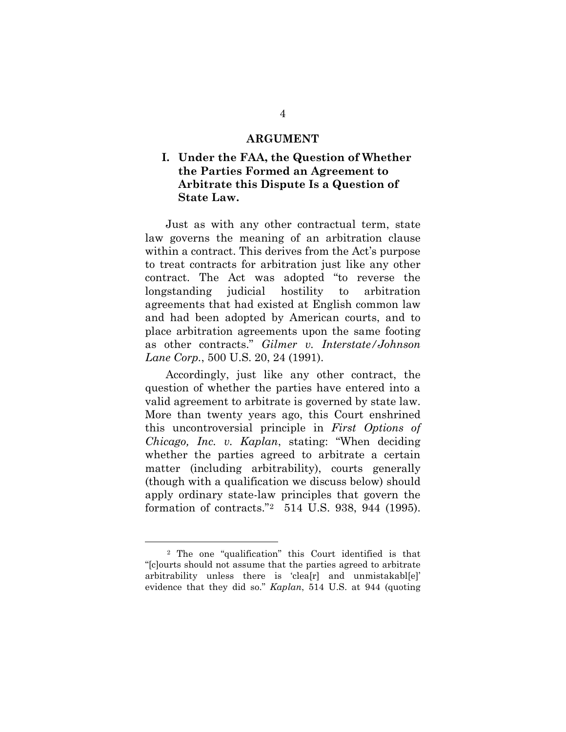#### **ARGUMENT**

### **I. Under the FAA, the Question of Whether the Parties Formed an Agreement to Arbitrate this Dispute Is a Question of State Law.**

Just as with any other contractual term, state law governs the meaning of an arbitration clause within a contract. This derives from the Act's purpose to treat contracts for arbitration just like any other contract. The Act was adopted "to reverse the longstanding judicial hostility to arbitration agreements that had existed at English common law and had been adopted by American courts, and to place arbitration agreements upon the same footing as other contracts." *Gilmer v. Interstate/Johnson Lane Corp.*, 500 U.S. 20, 24 (1991).

Accordingly, just like any other contract, the question of whether the parties have entered into a valid agreement to arbitrate is governed by state law. More than twenty years ago, this Court enshrined this uncontroversial principle in *First Options of Chicago, Inc. v. Kaplan*, stating: "When deciding whether the parties agreed to arbitrate a certain matter (including arbitrability), courts generally (though with a qualification we discuss below) should apply ordinary state-law principles that govern the formation of contracts."[2](#page-7-0) 514 U.S. 938, 944 (1995).

-

<span id="page-7-0"></span><sup>2</sup> The one "qualification" this Court identified is that "[c]ourts should not assume that the parties agreed to arbitrate arbitrability unless there is 'clea[r] and unmistakabl[e]' evidence that they did so." *Kaplan*, 514 U.S. at 944 (quoting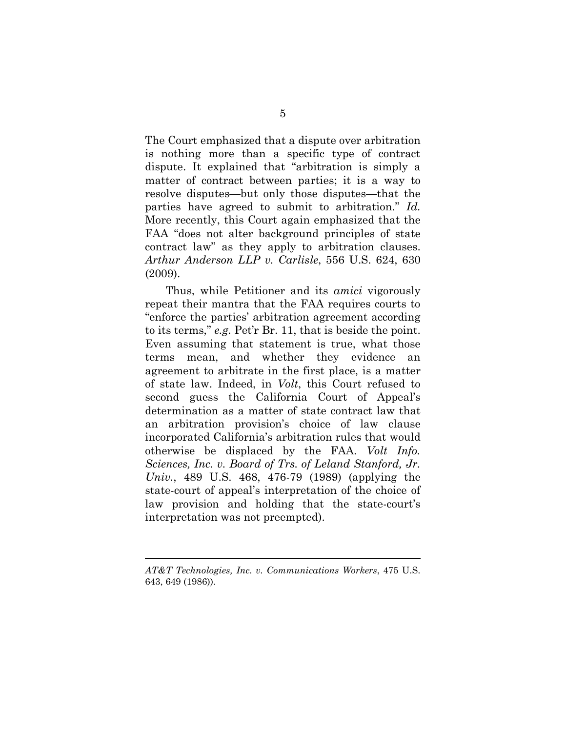The Court emphasized that a dispute over arbitration is nothing more than a specific type of contract dispute. It explained that "arbitration is simply a matter of contract between parties; it is a way to resolve disputes—but only those disputes—that the parties have agreed to submit to arbitration." *Id.*  More recently, this Court again emphasized that the FAA "does not alter background principles of state contract law" as they apply to arbitration clauses. *Arthur Anderson LLP v. Carlisle*, 556 U.S. 624, 630 (2009).

Thus, while Petitioner and its *amici* vigorously repeat their mantra that the FAA requires courts to "enforce the parties' arbitration agreement according to its terms," *e.g.* Pet'r Br. 11, that is beside the point. Even assuming that statement is true, what those terms mean, and whether they evidence an agreement to arbitrate in the first place, is a matter of state law. Indeed, in *Volt*, this Court refused to second guess the California Court of Appeal's determination as a matter of state contract law that an arbitration provision's choice of law clause incorporated California's arbitration rules that would otherwise be displaced by the FAA. *Volt Info. Sciences, Inc. v. Board of Trs. of Leland Stanford, Jr. Univ.*, 489 U.S. 468, 476-79 (1989) (applying the state-court of appeal's interpretation of the choice of law provision and holding that the state-court's interpretation was not preempted).

 $\overline{a}$ 

*AT&T Technologies, Inc. v. Communications Workers*, 475 U.S. 643, 649 (1986)).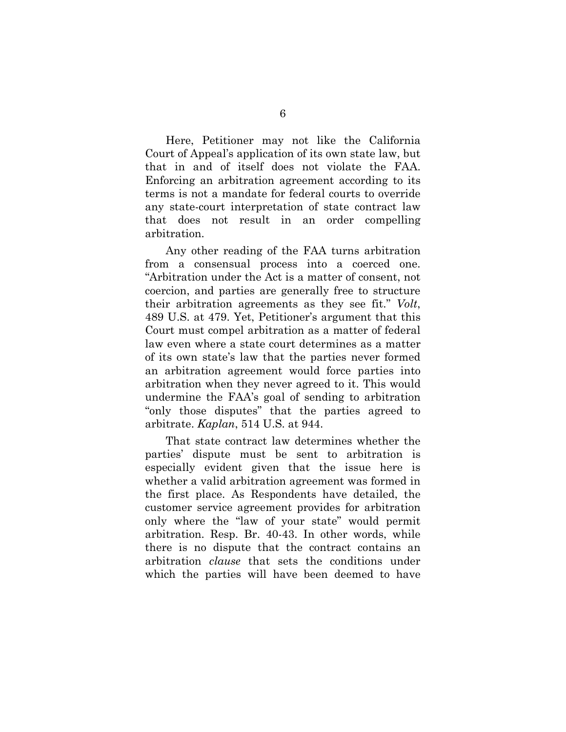Here, Petitioner may not like the California Court of Appeal's application of its own state law, but that in and of itself does not violate the FAA. Enforcing an arbitration agreement according to its terms is not a mandate for federal courts to override any state-court interpretation of state contract law that does not result in an order compelling arbitration.

<span id="page-9-0"></span>Any other reading of the FAA turns arbitration from a consensual process into a coerced one. "Arbitration under the Act is a matter of consent, not coercion, and parties are generally free to structure their arbitration agreements as they see fit." *Volt*, 489 U.S. at 479. Yet, Petitioner's argument that this Court must compel arbitration as a matter of federal law even where a state court determines as a matter of its own state's law that the parties never formed an arbitration agreement would force parties into arbitration when they never agreed to it. This would undermine the FAA's goal of sending to arbitration "only those disputes" that the parties agreed to arbitrate. *Kaplan*, 514 U.S. at 944.

That state contract law determines whether the parties' dispute must be sent to arbitration is especially evident given that the issue here is whether a valid arbitration agreement was formed in the first place. As Respondents have detailed, the customer service agreement provides for arbitration only where the "law of your state" would permit arbitration. Resp. Br. 40-43. In other words, while there is no dispute that the contract contains an arbitration *clause* that sets the conditions under which the parties will have been deemed to have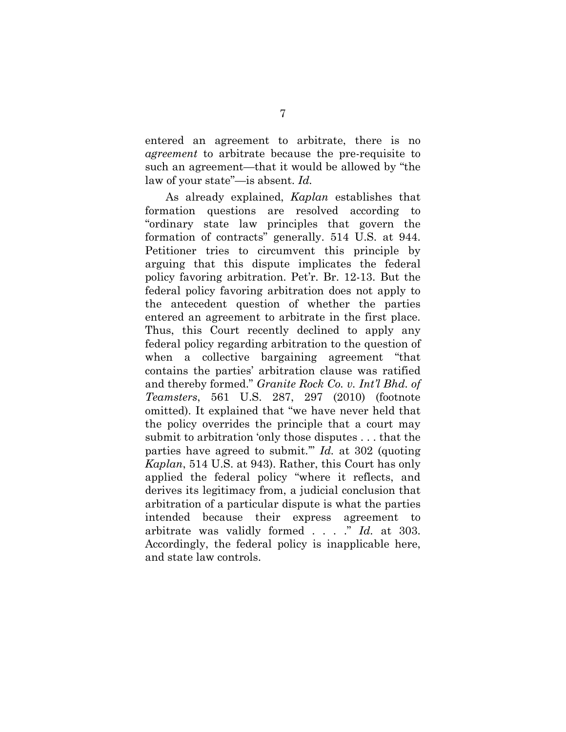entered an agreement to arbitrate, there is no *agreement* to arbitrate because the pre-requisite to such an agreement—that it would be allowed by "the law of your state"—is absent. *Id.*

<span id="page-10-0"></span>As already explained, *Kaplan* establishes that formation questions are resolved according to "ordinary state law principles that govern the formation of contracts" generally. 514 U.S. at 944. Petitioner tries to circumvent this principle by arguing that this dispute implicates the federal policy favoring arbitration. Pet'r. Br. 12-13. But the federal policy favoring arbitration does not apply to the antecedent question of whether the parties entered an agreement to arbitrate in the first place. Thus, this Court recently declined to apply any federal policy regarding arbitration to the question of when a collective bargaining agreement "that contains the parties' arbitration clause was ratified and thereby formed." *Granite Rock Co. v. Int'l Bhd. of Teamsters*, 561 U.S. 287, 297 (2010) (footnote omitted). It explained that "we have never held that the policy overrides the principle that a court may submit to arbitration 'only those disputes . . . that the parties have agreed to submit.'" *Id.* at 302 (quoting *Kaplan*, 514 U.S. at 943). Rather, this Court has only applied the federal policy "where it reflects, and derives its legitimacy from, a judicial conclusion that arbitration of a particular dispute is what the parties intended because their express agreement to arbitrate was validly formed . . . ." *Id.* at 303. Accordingly, the federal policy is inapplicable here, and state law controls.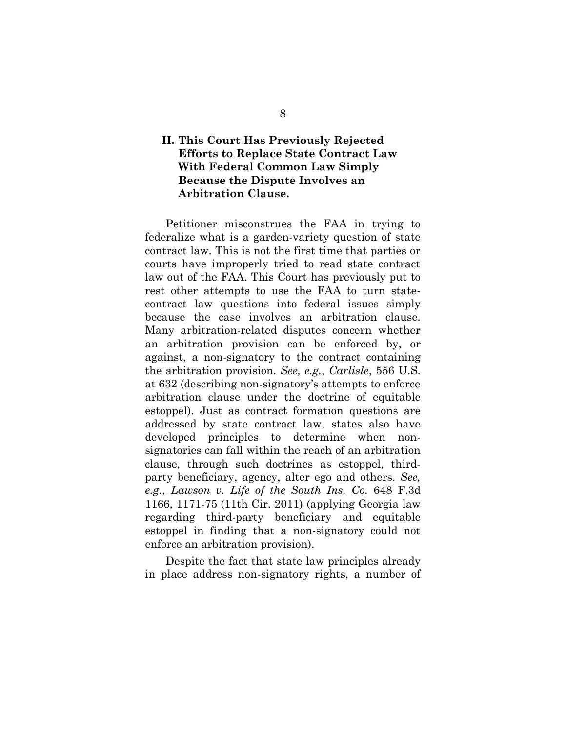### **II. This Court Has Previously Rejected Efforts to Replace State Contract Law With Federal Common Law Simply Because the Dispute Involves an Arbitration Clause.**

Petitioner misconstrues the FAA in trying to federalize what is a garden-variety question of state contract law. This is not the first time that parties or courts have improperly tried to read state contract law out of the FAA. This Court has previously put to rest other attempts to use the FAA to turn statecontract law questions into federal issues simply because the case involves an arbitration clause. Many arbitration-related disputes concern whether an arbitration provision can be enforced by, or against, a non-signatory to the contract containing the arbitration provision. *See, e.g.*, *Carlisle*, 556 U.S. at 632 (describing non-signatory's attempts to enforce arbitration clause under the doctrine of equitable estoppel). Just as contract formation questions are addressed by state contract law, states also have developed principles to determine when nonsignatories can fall within the reach of an arbitration clause, through such doctrines as estoppel, thirdparty beneficiary, agency, alter ego and others. *See, e.g.*, *Lawson v. Life of the South Ins. Co.* 648 F.3d 1166, 1171-75 (11th Cir. 2011) (applying Georgia law regarding third-party beneficiary and equitable estoppel in finding that a non-signatory could not enforce an arbitration provision).

Despite the fact that state law principles already in place address non-signatory rights, a number of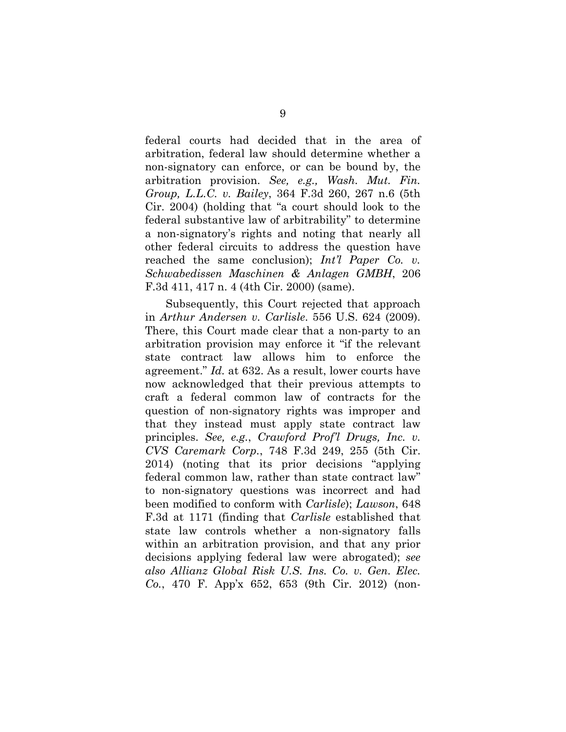<span id="page-12-3"></span>federal courts had decided that in the area of arbitration, federal law should determine whether a non-signatory can enforce, or can be bound by, the arbitration provision. *See, e.g., Wash. Mut. Fin. Group, L.L.C. v. Bailey*, 364 F.3d 260, 267 n.6 (5th Cir. 2004) (holding that "a court should look to the federal substantive law of arbitrability" to determine a non-signatory's rights and noting that nearly all other federal circuits to address the question have reached the same conclusion); *[Int'l Paper Co. v.](https://a.next.westlaw.com/Link/Document/FullText?findType=Y&serNum=2000073999&pubNum=506&originatingDoc=I799cacc38bb611d9af17b5c9441c4c47&refType=RP&fi=co_pp_sp_506_417&originationContext=document&transitionType=DocumentItem&contextData=%28sc.UserEnteredCitation%29%23co_pp_sp_506_417)  [Schwabedissen Maschinen & Anlagen GMBH](https://a.next.westlaw.com/Link/Document/FullText?findType=Y&serNum=2000073999&pubNum=506&originatingDoc=I799cacc38bb611d9af17b5c9441c4c47&refType=RP&fi=co_pp_sp_506_417&originationContext=document&transitionType=DocumentItem&contextData=%28sc.UserEnteredCitation%29%23co_pp_sp_506_417)*, 206 [F.3d 411, 417 n. 4 \(4th Cir.](https://a.next.westlaw.com/Link/Document/FullText?findType=Y&serNum=2000073999&pubNum=506&originatingDoc=I799cacc38bb611d9af17b5c9441c4c47&refType=RP&fi=co_pp_sp_506_417&originationContext=document&transitionType=DocumentItem&contextData=%28sc.UserEnteredCitation%29%23co_pp_sp_506_417) 2000) (same).

<span id="page-12-2"></span><span id="page-12-1"></span><span id="page-12-0"></span>Subsequently, this Court rejected that approach in *Arthur Andersen v. Carlisle*. 556 U.S. 624 (2009). There, this Court made clear that a non-party to an arbitration provision may enforce it "if the relevant state contract law allows him to enforce the agreement." *Id.* at 632. As a result, lower courts have now acknowledged that their previous attempts to craft a federal common law of contracts for the question of non-signatory rights was improper and that they instead must apply state contract law principles. *See, e.g.*, *Crawford Prof'l Drugs, Inc. v. CVS Caremark Corp.*, 748 F.3d 249, 255 (5th Cir. 2014) (noting that its prior decisions "applying federal common law, rather than state contract law" to non-signatory questions was incorrect and had been modified to conform with *Carlisle*); *Lawson*, 648 F.3d at 1171 (finding that *Carlisle* established that state law controls whether a non-signatory falls within an arbitration provision, and that any prior decisions applying federal law were abrogated); *see also Allianz Global Risk U.S. Ins. Co. v. Gen. Elec. Co.*, 470 F. App'x 652, 653 (9th Cir. 2012) (non